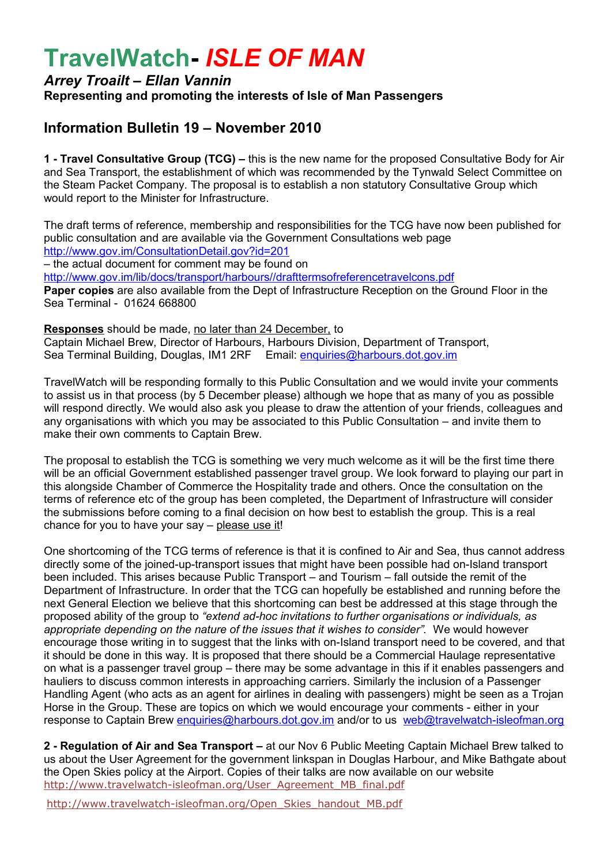# **TravelWatch-** *ISLE OF MAN*

### *Arrey Troailt – Ellan Vannin* **Representing and promoting the interests of Isle of Man Passengers**

## **Information Bulletin 19 – November 2010**

**1 - Travel Consultative Group (TCG) –** this is the new name for the proposed Consultative Body for Air and Sea Transport, the establishment of which was recommended by the Tynwald Select Committee on the Steam Packet Company. The proposal is to establish a non statutory Consultative Group which would report to the Minister for Infrastructure.

The draft terms of reference, membership and responsibilities for the TCG have now been published for public consultation and are available via the Government Consultations web page <http://www.gov.im/ConsultationDetail.gov?id=201> – the actual document for comment may be found on <http://www.gov.im/lib/docs/transport/harbours//drafttermsofreferencetravelcons.pdf> **Paper copies** are also available from the Dept of Infrastructure Reception on the Ground Floor in the Sea Terminal - 01624 668800

**Responses** should be made, no later than 24 December, to Captain Michael Brew, Director of Harbours, Harbours Division, Department of Transport, Sea Terminal Building, Douglas, IM1 2RF Email: [enquiries@harbours.dot.gov.im](mailto:enquiries@harbours.dot.gov.im)

TravelWatch will be responding formally to this Public Consultation and we would invite your comments to assist us in that process (by 5 December please) although we hope that as many of you as possible will respond directly. We would also ask you please to draw the attention of your friends, colleagues and any organisations with which you may be associated to this Public Consultation – and invite them to make their own comments to Captain Brew.

The proposal to establish the TCG is something we very much welcome as it will be the first time there will be an official Government established passenger travel group. We look forward to playing our part in this alongside Chamber of Commerce the Hospitality trade and others. Once the consultation on the terms of reference etc of the group has been completed, the Department of Infrastructure will consider the submissions before coming to a final decision on how best to establish the group. This is a real chance for you to have your say – please use it!

One shortcoming of the TCG terms of reference is that it is confined to Air and Sea, thus cannot address directly some of the joined-up-transport issues that might have been possible had on-Island transport been included. This arises because Public Transport – and Tourism – fall outside the remit of the Department of Infrastructure. In order that the TCG can hopefully be established and running before the next General Election we believe that this shortcoming can best be addressed at this stage through the proposed ability of the group to *"extend ad-hoc invitations to further organisations or individuals, as appropriate depending on the nature of the issues that it wishes to consider".* We would however encourage those writing in to suggest that the links with on-Island transport need to be covered, and that it should be done in this way. It is proposed that there should be a Commercial Haulage representative on what is a passenger travel group – there may be some advantage in this if it enables passengers and hauliers to discuss common interests in approaching carriers. Similarly the inclusion of a Passenger Handling Agent (who acts as an agent for airlines in dealing with passengers) might be seen as a Trojan Horse in the Group. These are topics on which we would encourage your comments - either in your response to Captain Brew [enquiries@harbours.dot.gov.im](mailto:enquiries@harbours.dot.gov.im) and/or to us [web@travelwatch-isleofman.org](mailto:web@travelwatch-isleofman.org)

**2 - Regulation of Air and Sea Transport –** at our Nov 6 Public Meeting Captain Michael Brew talked to us about the User Agreement for the government linkspan in Douglas Harbour, and Mike Bathgate about the Open Skies policy at the Airport. Copies of their talks are now available on our website [http://www.travelwatch-isleofman.org/User\\_Agreement\\_MB\\_final.pdf](http://www.travelwatch-isleofman.org/User_Agreement_MB_final.pdf) 

[http://www.travelwatch-isleofman.org/Open\\_Skies\\_handout\\_MB.pdf](http://www.travelwatch-isleofman.org/Open_Skies_handout_MB.pdf)